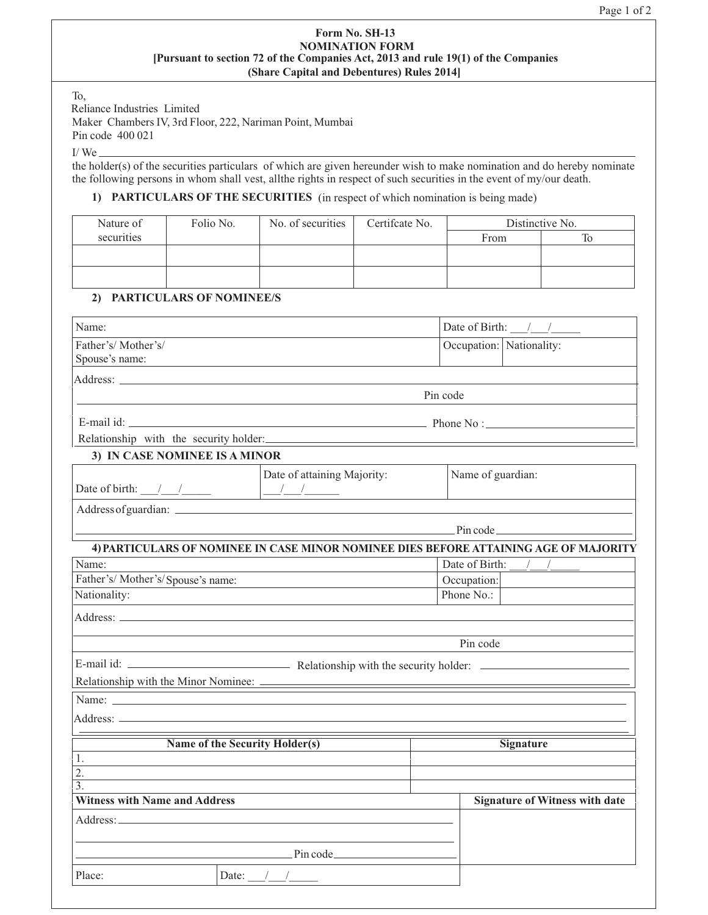#### **Form No. SH-13 [Pursuant to section 72 of the Companies Act, 2013 and rule 19(1) of the Companies (Share Capital and Debentures) Rules 2014] NOMINATION FORM**

To,

Reliance Industries Limited

Maker Chambers IV, 3rd Floor, 222, Nariman Point, Mumbai Pin code 400 021

 $I/We$ 

the holder(s) of the securities particulars of which are given hereunder wish to make nomination and do hereby nominate the following persons in whom shall vest, all the rights in respect of such securities in the event of my/our death.

# **1) PARTICULARS OF THE SECURITIES** (in respect of which nomination is being made)

| Nature of  | Folio No. | No. of securities | Certificate No. | Distinctive No. |  |
|------------|-----------|-------------------|-----------------|-----------------|--|
| securities |           |                   |                 | From            |  |
|            |           |                   |                 |                 |  |
|            |           |                   |                 |                 |  |
|            |           |                   |                 |                 |  |

# **2) PARTICULARS OF NOMINEE/S**

| Name:                                                                                                                                                                                                                                |                             | Date of Birth: $\frac{1}{\sqrt{1-\frac{1}{2}}}$ |                                 |  |
|--------------------------------------------------------------------------------------------------------------------------------------------------------------------------------------------------------------------------------------|-----------------------------|-------------------------------------------------|---------------------------------|--|
| Father's/Mother's/                                                                                                                                                                                                                   |                             |                                                 | Occupation: Nationality:        |  |
| Spouse's name:                                                                                                                                                                                                                       |                             |                                                 |                                 |  |
| Address: <u>the contract of the contract of the contract of the contract of the contract of the contract of the contract of the contract of the contract of the contract of the contract of the contract of the contract of the </u> |                             |                                                 |                                 |  |
|                                                                                                                                                                                                                                      |                             | Pin code                                        |                                 |  |
|                                                                                                                                                                                                                                      |                             |                                                 |                                 |  |
| Relationship with the security holder:                                                                                                                                                                                               |                             |                                                 |                                 |  |
| 3) IN CASE NOMINEE IS A MINOR                                                                                                                                                                                                        |                             |                                                 |                                 |  |
| Date of birth: $\frac{\sqrt{2}}{2}$ $\frac{\sqrt{2}}{2}$ $\frac{\sqrt{2}}{2}$ $\frac{\sqrt{2}}{2}$ $\frac{\sqrt{2}}{2}$                                                                                                              | Date of attaining Majority: | Name of guardian:                               |                                 |  |
|                                                                                                                                                                                                                                      |                             |                                                 |                                 |  |
|                                                                                                                                                                                                                                      |                             | $P$ in code                                     |                                 |  |
| 4) PARTICULARS OF NOMINEE IN CASE MINOR NOMINEE DIES BEFORE ATTAINING AGE OF MAJORITY                                                                                                                                                |                             |                                                 |                                 |  |
| Name:                                                                                                                                                                                                                                |                             |                                                 | Date of Birth:<br>$\frac{1}{2}$ |  |
| Father's/Mother's/Spouse's name:                                                                                                                                                                                                     |                             |                                                 | Occupation:                     |  |
| Nationality:                                                                                                                                                                                                                         |                             | Phone No.:                                      |                                 |  |
|                                                                                                                                                                                                                                      |                             |                                                 |                                 |  |
|                                                                                                                                                                                                                                      |                             | Pin code                                        |                                 |  |
|                                                                                                                                                                                                                                      |                             |                                                 |                                 |  |
|                                                                                                                                                                                                                                      |                             |                                                 |                                 |  |
| Name:                                                                                                                                                                                                                                |                             |                                                 |                                 |  |
|                                                                                                                                                                                                                                      |                             |                                                 |                                 |  |
|                                                                                                                                                                                                                                      |                             |                                                 |                                 |  |
| Name of the Security Holder(s)                                                                                                                                                                                                       |                             |                                                 | <b>Signature</b>                |  |
| 1.<br>2.                                                                                                                                                                                                                             |                             |                                                 |                                 |  |
| 3.                                                                                                                                                                                                                                   |                             |                                                 |                                 |  |
| <b>Witness with Name and Address</b>                                                                                                                                                                                                 |                             | <b>Signature of Witness with date</b>           |                                 |  |
|                                                                                                                                                                                                                                      |                             |                                                 |                                 |  |
|                                                                                                                                                                                                                                      |                             |                                                 |                                 |  |
|                                                                                                                                                                                                                                      | $P$ in code                 |                                                 |                                 |  |
| Place:                                                                                                                                                                                                                               | Date: $\frac{1}{2}$         |                                                 |                                 |  |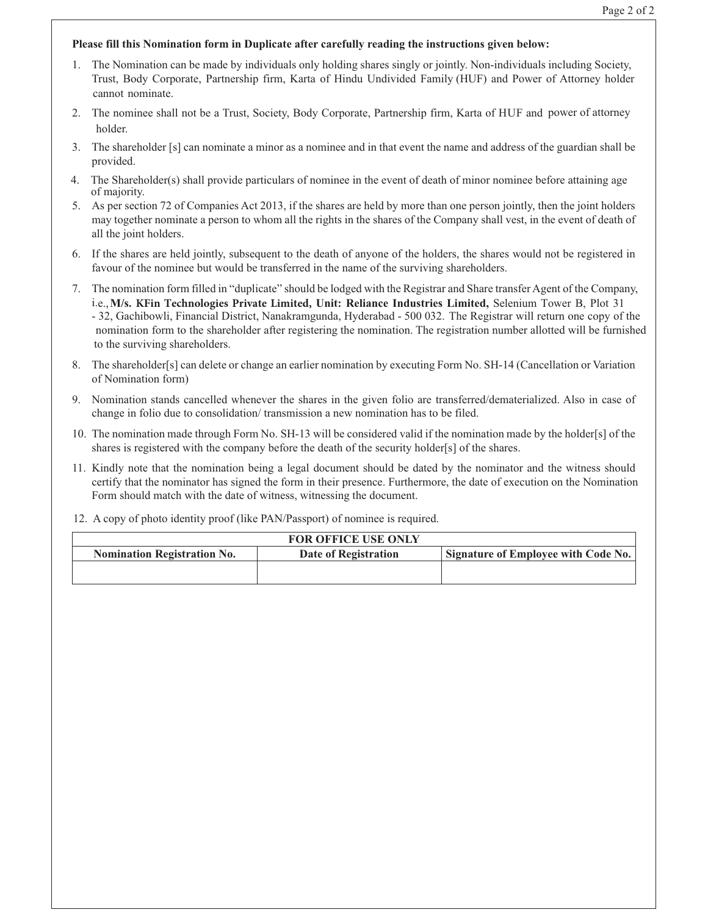# **Please fill this Nomination form in Duplicate after carefully reading the instructions given below:**

- 1. The Nomination can be made by individuals only holding shares singly or jointly. Non-individuals including Society, Trust, Body Corporate, Partnership firm, Karta of Hindu Undivided Family (HUF) and Power of Attorney holder cannot nominate.
- 2. The nominee shall not be a Trust, Society, Body Corporate, Partnership firm, Karta of HUF and power of attorney holder.
- 3. The shareholder [s] can nominate a minor as a nominee and in that event the name and address of the guardian shall be provided.
- 4. The Shareholder(s) shall provide particulars of nominee in the event of death of minor nominee before attaining age of majority.
- 5. As per section 72 of Companies Act 2013, if the shares are held by more than one person jointly, then the joint holders may together nominate a person to whom all the rights in the shares of the Company shall vest, in the event of death of all the joint holders.
- 6. If the shares are held jointly, subsequent to the death of anyone of the holders, the shares would not be registered in favour of the nominee but would be transferred in the name of the surviving shareholders.
- 7. The nomination form filled in "duplicate" should be lodged with the Registrar and Share transfer Agent of the Company, i.e., **M/s. KFin Technologies Private Limited, Unit: Reliance Industries Limited,** Selenium Tower B, Plot 31 - 32, Gachibowli, Financial District, Nanakramgunda, Hyderabad - 500 032. The Registrar will return one copy of the nomination form to the shareholder after registering the nomination. The registration number allotted will be furnished to the surviving shareholders.
- 8. The shareholder[s] can delete or change an earlier nomination by executing Form No. SH-14 (Cancellation or Variation of Nomination form)
- 9. Nomination stands cancelled whenever the shares in the given folio are transferred/dematerialized. Also in case of change in folio due to consolidation/ transmission a new nomination has to be filed.
- 10. The nomination made through Form No. SH-13 will be considered valid if the nomination made by the holder[s] of the shares is registered with the company before the death of the security holder[s] of the shares.
- 11. Kindly note that the nomination being a legal document should be dated by the nominator and the witness should certify that the nominator has signed the form in their presence. Furthermore, the date of execution on the Nomination Form should match with the date of witness, witnessing the document.
- 12. A copy of photo identity proof (like PAN/Passport) of nominee is required.

| <b>FOR OFFICE USE ONLY</b>         |                      |                                     |  |  |
|------------------------------------|----------------------|-------------------------------------|--|--|
| <b>Nomination Registration No.</b> | Date of Registration | Signature of Employee with Code No. |  |  |
|                                    |                      |                                     |  |  |
|                                    |                      |                                     |  |  |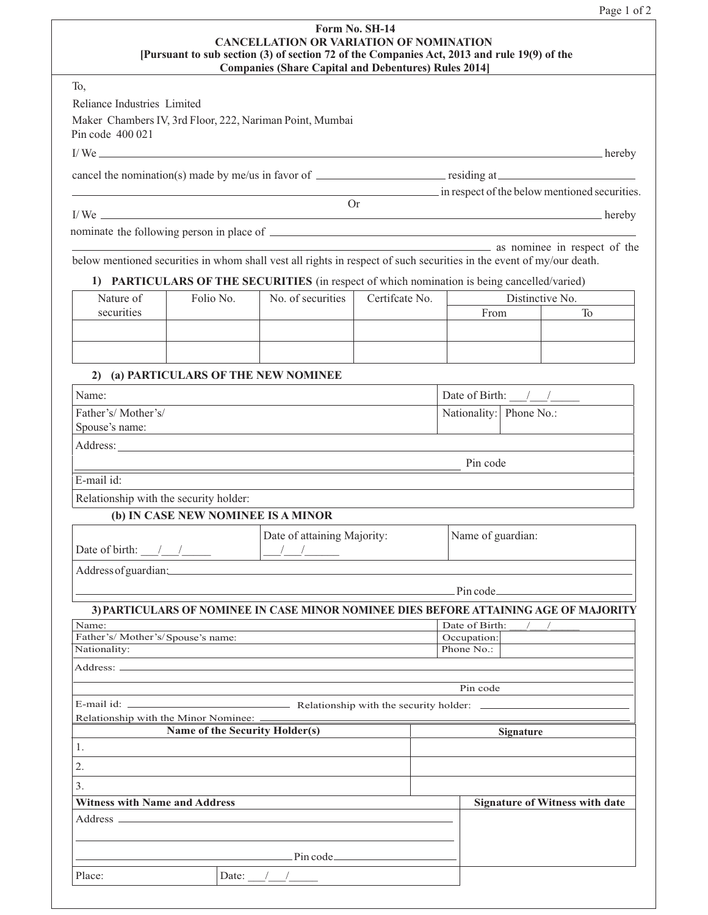| Page |  | $^{\circ}$ |
|------|--|------------|
|------|--|------------|

| Form No. SH-14                                                                              |
|---------------------------------------------------------------------------------------------|
| <b>CANCELLATION OR VARIATION OF NOMINATION</b>                                              |
| [Pursuant to sub section (3) of section 72 of the Companies Act, 2013 and rule 19(9) of the |
| <b>Companies (Share Capital and Debentures) Rules 2014</b>                                  |

To,

Reliance Industries Limited

Maker Chambers IV, 3rd Floor, 222, Nariman Point, Mumbai Pin code 400 021

I/We <u>example a set of the set of the set of the set of the set of the set of the set of the set of the set of the set of the set of the set of the set of the set of the set of the set of the set of the set of the set of t</u>

cancel the nomination(s) made by me/us in favor of <u>residing</u> at residing at

Or

I/ We hereby

nominate the following person in place of

**as nominee in respect of the** below mentioned securities in whom shall vest all rights in respect of such securities in the event of my/our death.

1) PARTICULARS OF THE SECURITIES (in respect of which nomination is being cancelled/varied)

| Nature of  | Folio No. | No. of securities | Certificate No. |      | Distinctive No. |
|------------|-----------|-------------------|-----------------|------|-----------------|
| securities |           |                   |                 | From |                 |
|            |           |                   |                 |      |                 |
|            |           |                   |                 |      |                 |
|            |           |                   |                 |      |                 |
|            |           |                   |                 |      |                 |

# **2) (a) PARTICULARS OF THE NEW NOMINEE**

| Name:                                                                                                           |          | Date of Birth:          |  |
|-----------------------------------------------------------------------------------------------------------------|----------|-------------------------|--|
| Father's/Mother's/                                                                                              |          | Nationality: Phone No.: |  |
| Spouse's name:                                                                                                  |          |                         |  |
| Address:                                                                                                        |          |                         |  |
|                                                                                                                 | Pin code |                         |  |
| E-mail id:                                                                                                      |          |                         |  |
| the contract of the contract of the contract of the contract of the contract of the contract of the contract of |          |                         |  |

Relationship with the security holder:

# **(b) IN CASE NEW NOMINEE IS A MINOR**

|                      | Date of attaining Majority: | Name of guardian: |
|----------------------|-----------------------------|-------------------|
| Date of birth:       |                             |                   |
| Address of guardian: |                             |                   |

Pin code

in respect of the below mentioned securities.

# **3) PARTICULARS OF NOMINEE IN CASE MINOR NOMINEE DIES BEFORE ATTAINING AGE OF MAJORITY** Name: Date of Birth:  $\frac{1}{2}$  Date of Birth:  $\frac{1}{2}$ Father's/ Mother's/Spouse's name:  $\qquad \qquad$  Occupation:

| Nationality:                                                                                                                                                                                                                        | Phone No.: |                                       |  |
|-------------------------------------------------------------------------------------------------------------------------------------------------------------------------------------------------------------------------------------|------------|---------------------------------------|--|
|                                                                                                                                                                                                                                     |            |                                       |  |
|                                                                                                                                                                                                                                     | Pin code   |                                       |  |
|                                                                                                                                                                                                                                     |            |                                       |  |
|                                                                                                                                                                                                                                     |            |                                       |  |
| Name of the Security Holder(s)                                                                                                                                                                                                      |            | <b>Signature</b>                      |  |
| 1.                                                                                                                                                                                                                                  |            |                                       |  |
| 2.                                                                                                                                                                                                                                  |            |                                       |  |
| 3.                                                                                                                                                                                                                                  |            |                                       |  |
| <b>Witness with Name and Address</b>                                                                                                                                                                                                |            | <b>Signature of Witness with date</b> |  |
|                                                                                                                                                                                                                                     |            |                                       |  |
|                                                                                                                                                                                                                                     |            |                                       |  |
| <u>Pincode</u> and the property of the property of the property of the set of the set of the set of the set of the set of the set of the set of the set of the set of the set of the set of the set of the set of the set of the se |            |                                       |  |
| Place:<br>Date: $\frac{1}{\sqrt{2}}$                                                                                                                                                                                                |            |                                       |  |